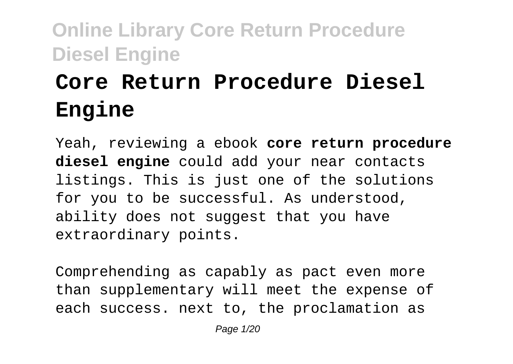# **Core Return Procedure Diesel Engine**

Yeah, reviewing a ebook **core return procedure diesel engine** could add your near contacts listings. This is just one of the solutions for you to be successful. As understood, ability does not suggest that you have extraordinary points.

Comprehending as capably as pact even more than supplementary will meet the expense of each success. next to, the proclamation as

Page 1/20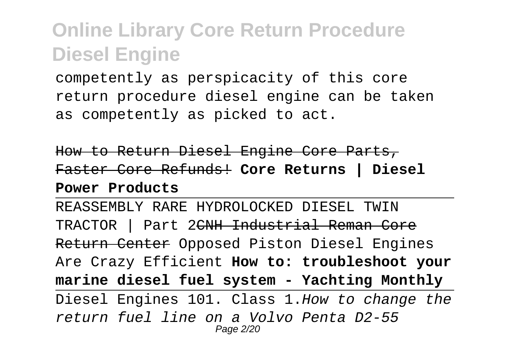competently as perspicacity of this core return procedure diesel engine can be taken as competently as picked to act.

How to Return Diesel Engine Core Parts, Faster Core Refunds! **Core Returns | Diesel Power Products**

REASSEMBLY RARE HYDROLOCKED DIESEL TWIN TRACTOR | Part 2CNH Industrial Reman Core Return Center Opposed Piston Diesel Engines Are Crazy Efficient **How to: troubleshoot your marine diesel fuel system - Yachting Monthly** Diesel Engines 101. Class 1.How to change the return fuel line on a Volvo Penta D2-55 Page 2/20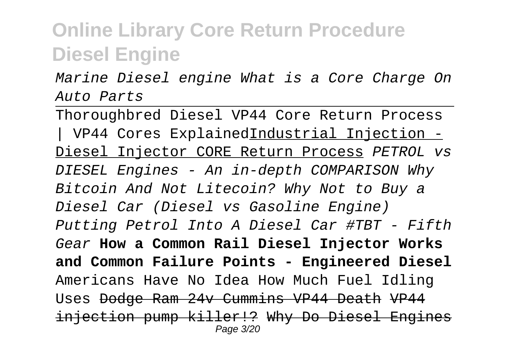Marine Diesel engine What is a Core Charge On Auto Parts

Thoroughbred Diesel VP44 Core Return Process | VP44 Cores ExplainedIndustrial Injection - Diesel Injector CORE Return Process PETROL vs DIESEL Engines - An in-depth COMPARISON Why Bitcoin And Not Litecoin? Why Not to Buy a Diesel Car (Diesel vs Gasoline Engine) Putting Petrol Into A Diesel Car #TBT - Fifth Gear **How a Common Rail Diesel Injector Works and Common Failure Points - Engineered Diesel** Americans Have No Idea How Much Fuel Idling Uses Dodge Ram 24v Cummins VP44 Death VP44 injection pump killer!? Why Do Diesel Engines Page 3/20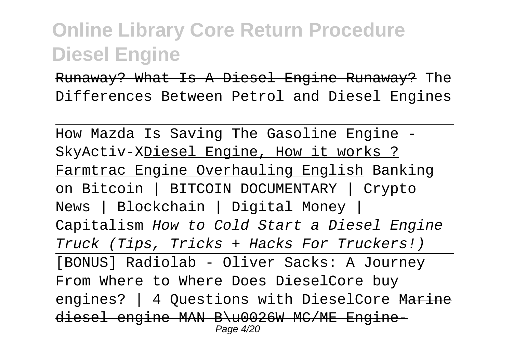Runaway? What Is A Diesel Engine Runaway? The Differences Between Petrol and Diesel Engines

How Mazda Is Saving The Gasoline Engine - SkyActiv-XDiesel Engine, How it works ? Farmtrac Engine Overhauling English Banking on Bitcoin | BITCOIN DOCUMENTARY | Crypto News | Blockchain | Digital Money | Capitalism How to Cold Start a Diesel Engine Truck (Tips, Tricks + Hacks For Truckers!) [BONUS] Radiolab - Oliver Sacks: A Journey From Where to Where Does DieselCore buy engines? | 4 Questions with DieselCore Marine diesel engine MAN B\u0026W MC/ME Engine-Page 4/20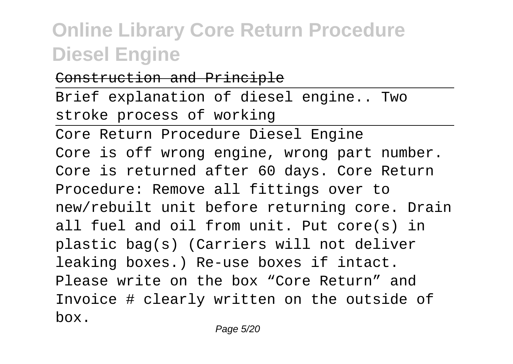#### Construction and Principle

Brief explanation of diesel engine.. Two stroke process of working

Core Return Procedure Diesel Engine Core is off wrong engine, wrong part number. Core is returned after 60 days. Core Return Procedure: Remove all fittings over to new/rebuilt unit before returning core. Drain all fuel and oil from unit. Put core(s) in plastic bag(s) (Carriers will not deliver leaking boxes.) Re-use boxes if intact. Please write on the box "Core Return" and Invoice # clearly written on the outside of box.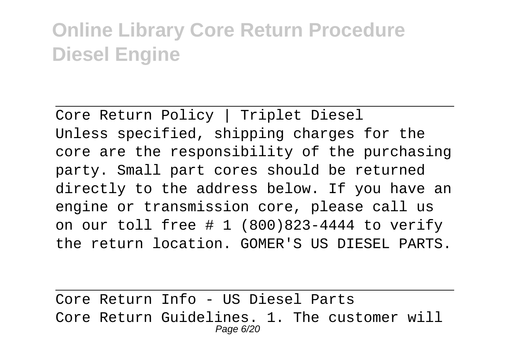Core Return Policy | Triplet Diesel Unless specified, shipping charges for the core are the responsibility of the purchasing party. Small part cores should be returned directly to the address below. If you have an engine or transmission core, please call us on our toll free # 1 (800)823-4444 to verify the return location. GOMER'S US DIESEL PARTS.

Core Return Info - US Diesel Parts Core Return Guidelines. 1. The customer will Page 6/20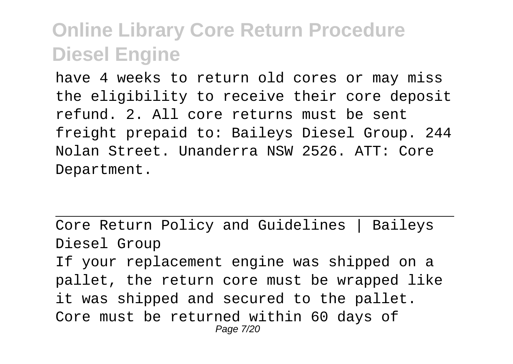have 4 weeks to return old cores or may miss the eligibility to receive their core deposit refund. 2. All core returns must be sent freight prepaid to: Baileys Diesel Group. 244 Nolan Street. Unanderra NSW 2526. ATT: Core Department.

Core Return Policy and Guidelines | Baileys Diesel Group If your replacement engine was shipped on a pallet, the return core must be wrapped like it was shipped and secured to the pallet. Core must be returned within 60 days of Page 7/20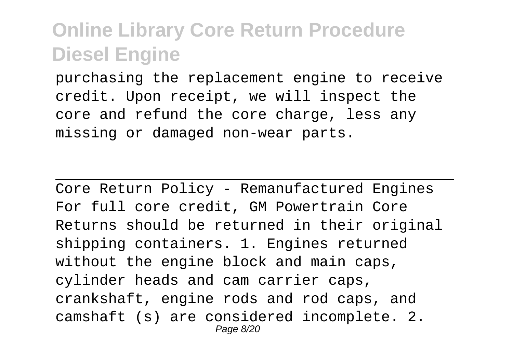purchasing the replacement engine to receive credit. Upon receipt, we will inspect the core and refund the core charge, less any missing or damaged non-wear parts.

Core Return Policy - Remanufactured Engines For full core credit, GM Powertrain Core Returns should be returned in their original shipping containers. 1. Engines returned without the engine block and main caps, cylinder heads and cam carrier caps, crankshaft, engine rods and rod caps, and camshaft (s) are considered incomplete. 2. Page 8/20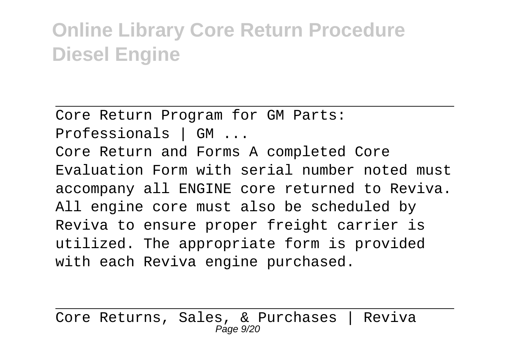Core Return Program for GM Parts:

Professionals | GM ...

Core Return and Forms A completed Core Evaluation Form with serial number noted must accompany all ENGINE core returned to Reviva. All engine core must also be scheduled by Reviva to ensure proper freight carrier is utilized. The appropriate form is provided with each Reviva engine purchased.

Core Returns, Sales, & Purchases | Reviva  $P$ age  $9/20$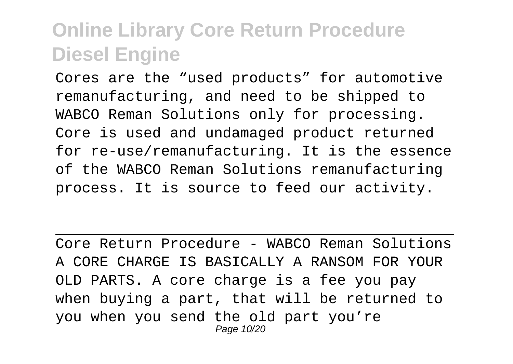Cores are the "used products" for automotive remanufacturing, and need to be shipped to WABCO Reman Solutions only for processing. Core is used and undamaged product returned for re-use/remanufacturing. It is the essence of the WABCO Reman Solutions remanufacturing process. It is source to feed our activity.

Core Return Procedure - WABCO Reman Solutions A CORE CHARGE IS BASICALLY A RANSOM FOR YOUR OLD PARTS. A core charge is a fee you pay when buying a part, that will be returned to you when you send the old part you're Page 10/20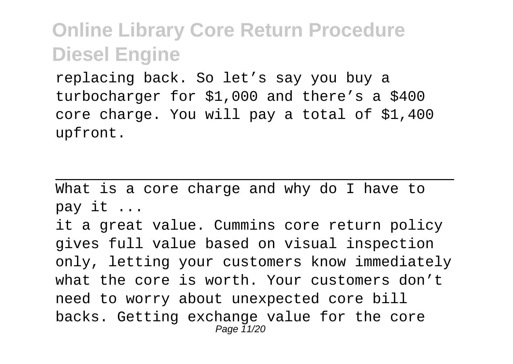replacing back. So let's say you buy a turbocharger for \$1,000 and there's a \$400 core charge. You will pay a total of \$1,400 upfront.

What is a core charge and why do I have to pay it ...

it a great value. Cummins core return policy gives full value based on visual inspection only, letting your customers know immediately what the core is worth. Your customers don't need to worry about unexpected core bill backs. Getting exchange value for the core Page 11/20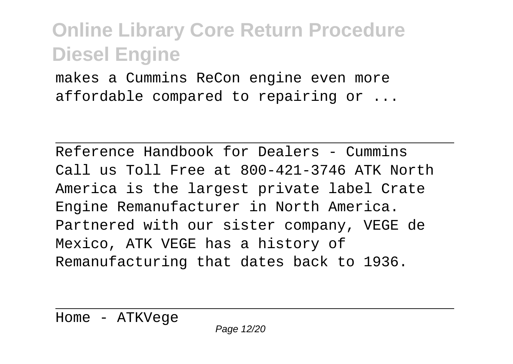makes a Cummins ReCon engine even more affordable compared to repairing or ...

Reference Handbook for Dealers - Cummins Call us Toll Free at 800-421-3746 ATK North America is the largest private label Crate Engine Remanufacturer in North America. Partnered with our sister company, VEGE de Mexico, ATK VEGE has a history of Remanufacturing that dates back to 1936.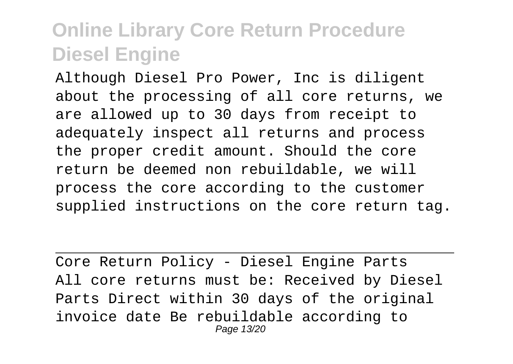Although Diesel Pro Power, Inc is diligent about the processing of all core returns, we are allowed up to 30 days from receipt to adequately inspect all returns and process the proper credit amount. Should the core return be deemed non rebuildable, we will process the core according to the customer supplied instructions on the core return tag.

Core Return Policy - Diesel Engine Parts All core returns must be: Received by Diesel Parts Direct within 30 days of the original invoice date Be rebuildable according to Page 13/20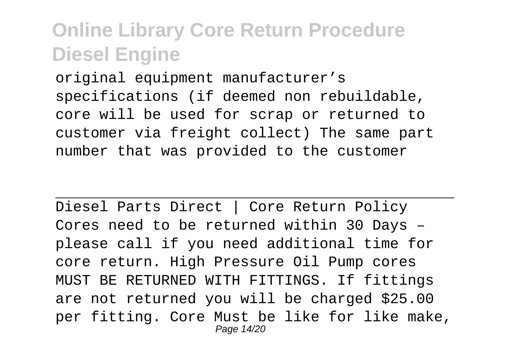original equipment manufacturer's specifications (if deemed non rebuildable, core will be used for scrap or returned to customer via freight collect) The same part number that was provided to the customer

Diesel Parts Direct | Core Return Policy Cores need to be returned within 30 Days – please call if you need additional time for core return. High Pressure Oil Pump cores MUST BE RETURNED WITH FITTINGS. If fittings are not returned you will be charged \$25.00 per fitting. Core Must be like for like make, Page 14/20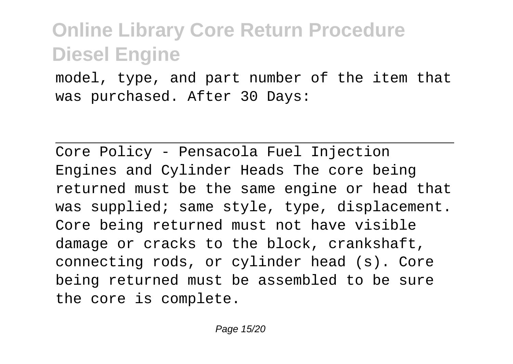model, type, and part number of the item that was purchased. After 30 Days:

Core Policy - Pensacola Fuel Injection Engines and Cylinder Heads The core being returned must be the same engine or head that was supplied; same style, type, displacement. Core being returned must not have visible damage or cracks to the block, crankshaft, connecting rods, or cylinder head (s). Core being returned must be assembled to be sure the core is complete.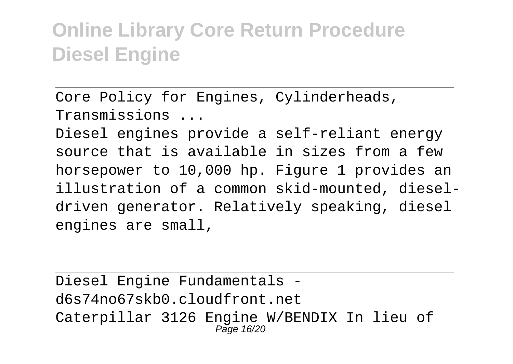Core Policy for Engines, Cylinderheads, Transmissions ...

Diesel engines provide a self-reliant energy source that is available in sizes from a few horsepower to 10,000 hp. Figure 1 provides an illustration of a common skid-mounted, dieseldriven generator. Relatively speaking, diesel engines are small,

Diesel Engine Fundamentals d6s74no67skb0.cloudfront.net Caterpillar 3126 Engine W/BENDIX In lieu of Page 16/20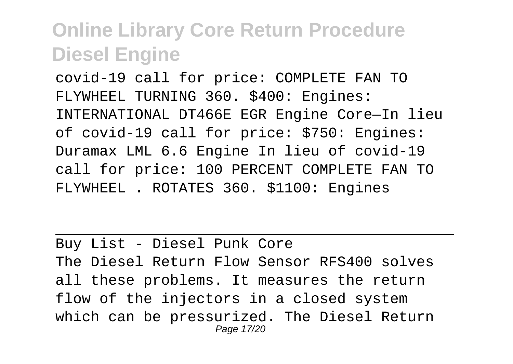covid-19 call for price: COMPLETE FAN TO FLYWHEEL TURNING 360. \$400: Engines: INTERNATIONAL DT466E EGR Engine Core—In lieu of covid-19 call for price: \$750: Engines: Duramax LML 6.6 Engine In lieu of covid-19 call for price: 100 PERCENT COMPLETE FAN TO FLYWHEEL . ROTATES 360. \$1100: Engines

Buy List - Diesel Punk Core The Diesel Return Flow Sensor RFS400 solves all these problems. It measures the return flow of the injectors in a closed system which can be pressurized. The Diesel Return Page 17/20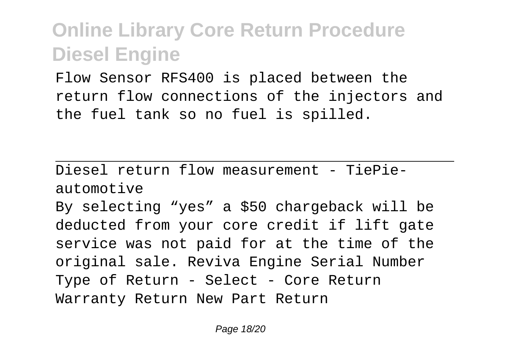Flow Sensor RFS400 is placed between the return flow connections of the injectors and the fuel tank so no fuel is spilled.

Diesel return flow measurement - TiePieautomotive

By selecting "yes" a \$50 chargeback will be deducted from your core credit if lift gate service was not paid for at the time of the original sale. Reviva Engine Serial Number Type of Return - Select - Core Return Warranty Return New Part Return

Page 18/20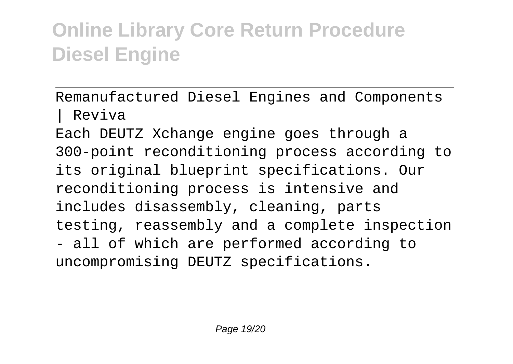Remanufactured Diesel Engines and Components | Reviva

Each DEUTZ Xchange engine goes through a 300-point reconditioning process according to its original blueprint specifications. Our reconditioning process is intensive and includes disassembly, cleaning, parts testing, reassembly and a complete inspection - all of which are performed according to uncompromising DEUTZ specifications.